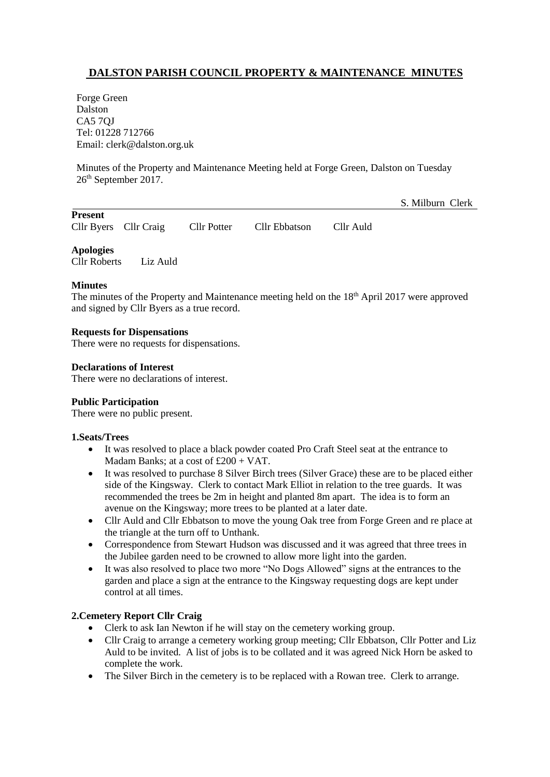# **DALSTON PARISH COUNCIL PROPERTY & MAINTENANCE MINUTES**

Forge Green Dalston CA5 7QJ Tel: 01228 712766 Email: clerk@dalston.org.uk

Minutes of the Property and Maintenance Meeting held at Forge Green, Dalston on Tuesday 26th September 2017.

S. Milburn Clerk

|  | Cllr Byers |  |
|--|------------|--|

**Present**

Cllr Craig Cllr Potter Cllr Ebbatson Cllr Auld

**Apologies**

Cllr Roberts Liz Auld

### **Minutes**

The minutes of the Property and Maintenance meeting held on the 18<sup>th</sup> April 2017 were approved and signed by Cllr Byers as a true record.

### **Requests for Dispensations**

There were no requests for dispensations.

### **Declarations of Interest**

There were no declarations of interest.

# **Public Participation**

There were no public present.

### **1.Seats/Trees**

- It was resolved to place a black powder coated Pro Craft Steel seat at the entrance to Madam Banks; at a cost of £200 + VAT.
- It was resolved to purchase 8 Silver Birch trees (Silver Grace) these are to be placed either side of the Kingsway. Clerk to contact Mark Elliot in relation to the tree guards. It was recommended the trees be 2m in height and planted 8m apart. The idea is to form an avenue on the Kingsway; more trees to be planted at a later date.
- Cllr Auld and Cllr Ebbatson to move the young Oak tree from Forge Green and re place at the triangle at the turn off to Unthank.
- Correspondence from Stewart Hudson was discussed and it was agreed that three trees in the Jubilee garden need to be crowned to allow more light into the garden.
- It was also resolved to place two more "No Dogs Allowed" signs at the entrances to the garden and place a sign at the entrance to the Kingsway requesting dogs are kept under control at all times.

# **2.Cemetery Report Cllr Craig**

- Clerk to ask Ian Newton if he will stay on the cemetery working group.
- Cllr Craig to arrange a cemetery working group meeting; Cllr Ebbatson, Cllr Potter and Liz Auld to be invited. A list of jobs is to be collated and it was agreed Nick Horn be asked to complete the work.
- The Silver Birch in the cemetery is to be replaced with a Rowan tree. Clerk to arrange.